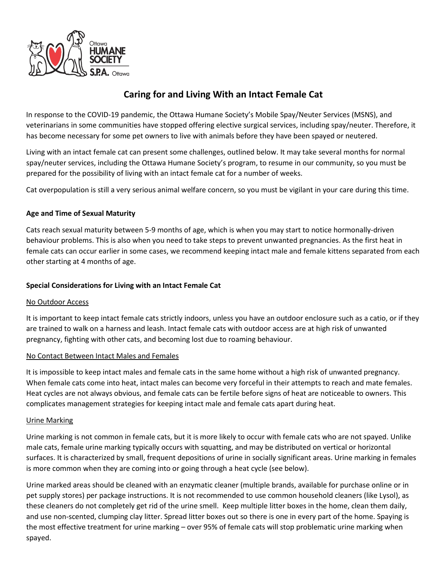

# **Caring for and Living With an Intact Female Cat**

In response to the COVID-19 pandemic, the Ottawa Humane Society's Mobile Spay/Neuter Services (MSNS), and veterinarians in some communities have stopped offering elective surgical services, including spay/neuter. Therefore, it has become necessary for some pet owners to live with animals before they have been spayed or neutered.

Living with an intact female cat can present some challenges, outlined below. It may take several months for normal spay/neuter services, including the Ottawa Humane Society's program, to resume in our community, so you must be prepared for the possibility of living with an intact female cat for a number of weeks.

Cat overpopulation is still a very serious animal welfare concern, so you must be vigilant in your care during this time.

## **Age and Time of Sexual Maturity**

Cats reach sexual maturity between 5-9 months of age, which is when you may start to notice hormonally-driven behaviour problems. This is also when you need to take steps to prevent unwanted pregnancies. As the first heat in female cats can occur earlier in some cases, we recommend keeping intact male and female kittens separated from each other starting at 4 months of age.

## **Special Considerations for Living with an Intact Female Cat**

#### No Outdoor Access

It is important to keep intact female cats strictly indoors, unless you have an outdoor enclosure such as a catio, or if they are trained to walk on a harness and leash. Intact female cats with outdoor access are at high risk of unwanted pregnancy, fighting with other cats, and becoming lost due to roaming behaviour.

#### No Contact Between Intact Males and Females

It is impossible to keep intact males and female cats in the same home without a high risk of unwanted pregnancy. When female cats come into heat, intact males can become very forceful in their attempts to reach and mate females. Heat cycles are not always obvious, and female cats can be fertile before signs of heat are noticeable to owners. This complicates management strategies for keeping intact male and female cats apart during heat.

#### Urine Marking

Urine marking is not common in female cats, but it is more likely to occur with female cats who are not spayed. Unlike male cats, female urine marking typically occurs with squatting, and may be distributed on vertical or horizontal surfaces. It is characterized by small, frequent depositions of urine in socially significant areas. Urine marking in females is more common when they are coming into or going through a heat cycle (see below).

Urine marked areas should be cleaned with an enzymatic cleaner (multiple brands, available for purchase online or in pet supply stores) per package instructions. It is not recommended to use common household cleaners (like Lysol), as these cleaners do not completely get rid of the urine smell. Keep multiple litter boxes in the home, clean them daily, and use non-scented, clumping clay litter. Spread litter boxes out so there is one in every part of the home. Spaying is the most effective treatment for urine marking – over 95% of female cats will stop problematic urine marking when spayed.